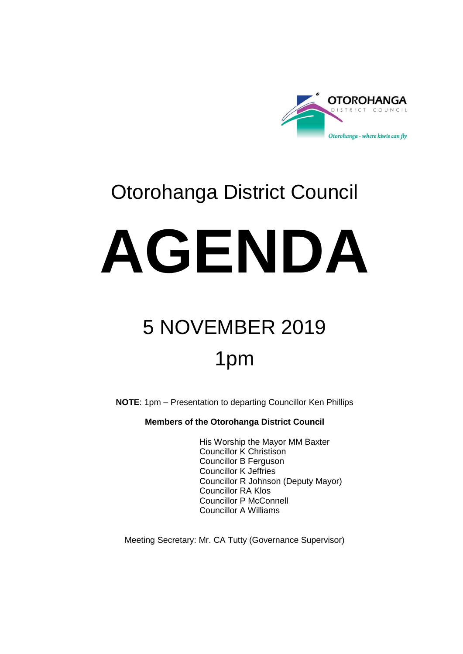

## Otorohanga District Council

# **AGENDA**

## 5 NOVEMBER 2019 1pm

**NOTE**: 1pm – Presentation to departing Councillor Ken Phillips

**Members of the Otorohanga District Council**

His Worship the Mayor MM Baxter Councillor K Christison Councillor B Ferguson Councillor K Jeffries Councillor R Johnson (Deputy Mayor) Councillor RA Klos Councillor P McConnell Councillor A Williams

Meeting Secretary: Mr. CA Tutty (Governance Supervisor)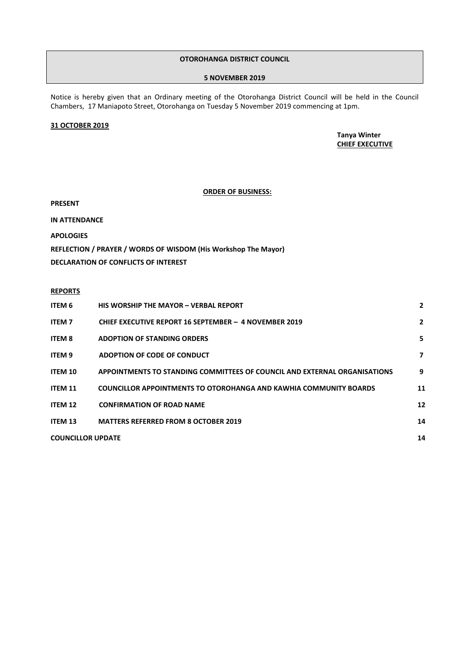#### **OTOROHANGA DISTRICT COUNCIL**

#### **5 NOVEMBER 2019**

Notice is hereby given that an Ordinary meeting of the Otorohanga District Council will be held in the Council Chambers, 17 Maniapoto Street, Otorohanga on Tuesday 5 November 2019 commencing at 1pm.

#### **31 OCTOBER 2019**

#### **Tanya Winter CHIEF EXECUTIVE**

#### **ORDER OF BUSINESS:**

**PRESENT**

**IN ATTENDANCE**

**APOLOGIES**

**REFLECTION / PRAYER / WORDS OF WISDOM (His Workshop The Mayor)**

**DECLARATION OF CONFLICTS OF INTEREST**

#### **REPORTS**

| ITEM 6                   | <b>HIS WORSHIP THE MAYOR - VERBAL REPORT</b>                              | $\mathbf{2}$ |
|--------------------------|---------------------------------------------------------------------------|--------------|
| <b>ITEM7</b>             | CHIEF EXECUTIVE REPORT 16 SEPTEMBER - 4 NOVEMBER 2019                     | $\mathbf{2}$ |
| <b>ITEM 8</b>            | <b>ADOPTION OF STANDING ORDERS</b>                                        | 5            |
| <b>ITEM9</b>             | ADOPTION OF CODE OF CONDUCT                                               | 7            |
| ITEM 10                  | APPOINTMENTS TO STANDING COMMITTEES OF COUNCIL AND EXTERNAL ORGANISATIONS | 9            |
| <b>ITEM 11</b>           | <b>COUNCILLOR APPOINTMENTS TO OTOROHANGA AND KAWHIA COMMUNITY BOARDS</b>  | 11           |
| <b>ITEM 12</b>           | <b>CONFIRMATION OF ROAD NAME</b>                                          | 12           |
| <b>ITEM 13</b>           | <b>MATTERS REFERRED FROM 8 OCTOBER 2019</b>                               | 14           |
| <b>COUNCILLOR UPDATE</b> |                                                                           |              |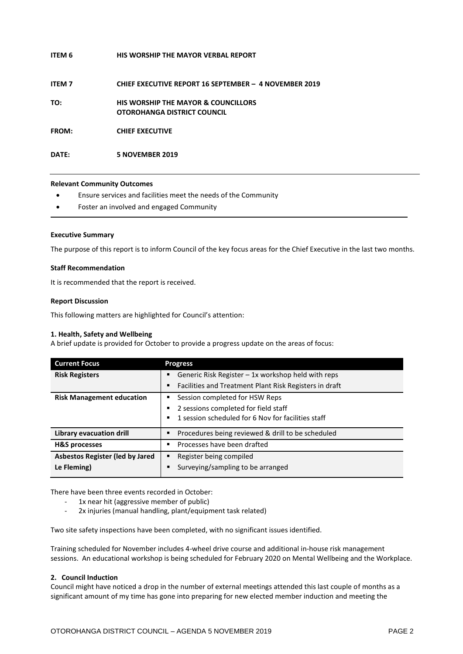| ITEM 6       | <b>HIS WORSHIP THE MAYOR VERBAL REPORT</b>                                    |
|--------------|-------------------------------------------------------------------------------|
| <b>ITEM7</b> | CHIEF EXECUTIVE REPORT 16 SEPTEMBER - 4 NOVEMBER 2019                         |
| TO:          | <b>HIS WORSHIP THE MAYOR &amp; COUNCILLORS</b><br>OTOROHANGA DISTRICT COUNCIL |
| FROM:        | <b>CHIEF EXECUTIVE</b>                                                        |
| DATE:        | <b>5 NOVEMBER 2019</b>                                                        |

#### **Relevant Community Outcomes**

- Ensure services and facilities meet the needs of the Community
- Foster an involved and engaged Community

#### **Executive Summary**

The purpose of this report is to inform Council of the key focus areas for the Chief Executive in the last two months.

#### **Staff Recommendation**

It is recommended that the report is received.

#### **Report Discussion**

This following matters are highlighted for Council's attention:

#### **1. Health, Safety and Wellbeing**

A brief update is provided for October to provide a progress update on the areas of focus:

| Generic Risk Register - 1x workshop held with reps<br><b>Risk Registers</b>   |
|-------------------------------------------------------------------------------|
|                                                                               |
| Facilities and Treatment Plant Risk Registers in draft                        |
| <b>Risk Management education</b><br>Session completed for HSW Reps            |
| 2 sessions completed for field staff                                          |
| 1 session scheduled for 6 Nov for facilities staff                            |
| Library evacuation drill<br>Procedures being reviewed & drill to be scheduled |
| Processes have been drafted<br><b>H&amp;S processes</b>                       |
| <b>Asbestos Register (led by Jared)</b><br>Register being compiled<br>٠       |
| Surveying/sampling to be arranged<br>Le Fleming)                              |

There have been three events recorded in October:

- 1x near hit (aggressive member of public)
- 2x injuries (manual handling, plant/equipment task related)

Two site safety inspections have been completed, with no significant issues identified.

Training scheduled for November includes 4-wheel drive course and additional in-house risk management sessions. An educational workshop is being scheduled for February 2020 on Mental Wellbeing and the Workplace.

#### **2. Council Induction**

Council might have noticed a drop in the number of external meetings attended this last couple of months as a significant amount of my time has gone into preparing for new elected member induction and meeting the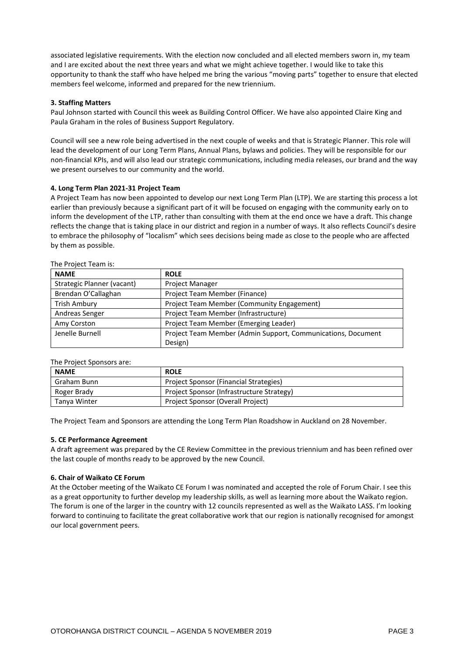associated legislative requirements. With the election now concluded and all elected members sworn in, my team and I are excited about the next three years and what we might achieve together. I would like to take this opportunity to thank the staff who have helped me bring the various "moving parts" together to ensure that elected members feel welcome, informed and prepared for the new triennium.

#### **3. Staffing Matters**

Paul Johnson started with Council this week as Building Control Officer. We have also appointed Claire King and Paula Graham in the roles of Business Support Regulatory.

Council will see a new role being advertised in the next couple of weeks and that is Strategic Planner. This role will lead the development of our Long Term Plans, Annual Plans, bylaws and policies. They will be responsible for our non-financial KPIs, and will also lead our strategic communications, including media releases, our brand and the way we present ourselves to our community and the world.

#### **4. Long Term Plan 2021-31 Project Team**

A Project Team has now been appointed to develop our next Long Term Plan (LTP). We are starting this process a lot earlier than previously because a significant part of it will be focused on engaging with the community early on to inform the development of the LTP, rather than consulting with them at the end once we have a draft. This change reflects the change that is taking place in our district and region in a number of ways. It also reflects Council's desire to embrace the philosophy of "localism" which sees decisions being made as close to the people who are affected by them as possible.

| $111C$ T TUJECL TEQUITIS.  |                                                              |
|----------------------------|--------------------------------------------------------------|
| <b>NAME</b>                | <b>ROLE</b>                                                  |
| Strategic Planner (vacant) | Project Manager                                              |
| Brendan O'Callaghan        | Project Team Member (Finance)                                |
| <b>Trish Ambury</b>        | Project Team Member (Community Engagement)                   |
| Andreas Senger             | Project Team Member (Infrastructure)                         |
| Amy Corston                | Project Team Member (Emerging Leader)                        |
| Jenelle Burnell            | Project Team Member (Admin Support, Communications, Document |
|                            | Design)                                                      |

#### The Project Team is:

| The Project Sponsors are: |                                           |  |
|---------------------------|-------------------------------------------|--|
| <b>NAME</b>               | <b>ROLE</b>                               |  |
| Graham Bunn               | Project Sponsor (Financial Strategies)    |  |
| Roger Brady               | Project Sponsor (Infrastructure Strategy) |  |
| Tanya Winter              | Project Sponsor (Overall Project)         |  |

The Project Team and Sponsors are attending the Long Term Plan Roadshow in Auckland on 28 November.

#### **5. CE Performance Agreement**

A draft agreement was prepared by the CE Review Committee in the previous triennium and has been refined over the last couple of months ready to be approved by the new Council.

#### **6. Chair of Waikato CE Forum**

At the October meeting of the Waikato CE Forum I was nominated and accepted the role of Forum Chair. I see this as a great opportunity to further develop my leadership skills, as well as learning more about the Waikato region. The forum is one of the larger in the country with 12 councils represented as well as the Waikato LASS. I'm looking forward to continuing to facilitate the great collaborative work that our region is nationally recognised for amongst our local government peers.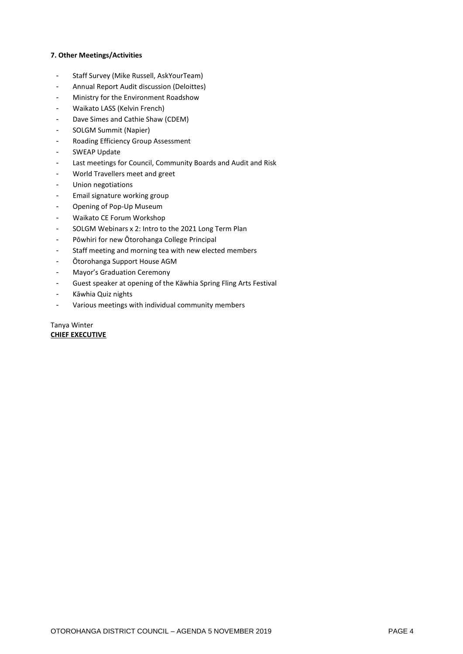#### **7. Other Meetings/Activities**

- Staff Survey (Mike Russell, AskYourTeam)
- Annual Report Audit discussion (Deloittes)
- Ministry for the Environment Roadshow
- Waikato LASS (Kelvin French)
- Dave Simes and Cathie Shaw (CDEM)
- SOLGM Summit (Napier)
- Roading Efficiency Group Assessment
- SWEAP Update
- Last meetings for Council, Community Boards and Audit and Risk
- World Travellers meet and greet
- Union negotiations
- Email signature working group
- Opening of Pop-Up Museum
- Waikato CE Forum Workshop
- SOLGM Webinars x 2: Intro to the 2021 Long Term Plan
- Pōwhiri for new Ōtorohanga College Principal
- Staff meeting and morning tea with new elected members
- Ōtorohanga Support House AGM
- Mayor's Graduation Ceremony
- Guest speaker at opening of the Kāwhia Spring Fling Arts Festival
- Kāwhia Quiz nights
- Various meetings with individual community members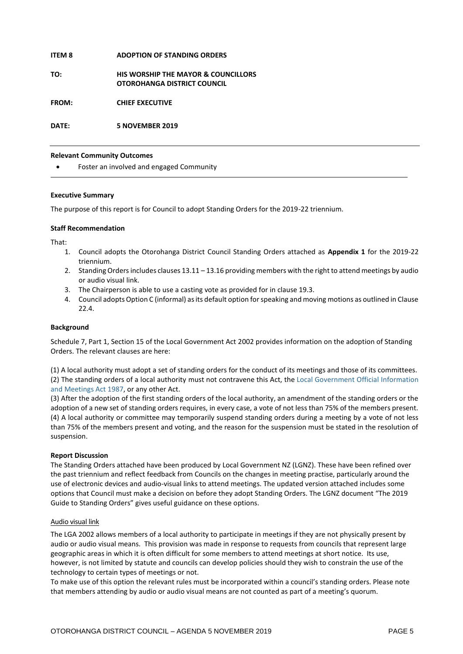#### **ITEM 8 ADOPTION OF STANDING ORDERS**

**TO: HIS WORSHIP THE MAYOR & COUNCILLORS OTOROHANGA DISTRICT COUNCIL**

**FROM: CHIEF EXECUTIVE**

**DATE: 5 NOVEMBER 2019**

#### **Relevant Community Outcomes**

Foster an involved and engaged Community

#### **Executive Summary**

The purpose of this report is for Council to adopt Standing Orders for the 2019-22 triennium.

#### **Staff Recommendation**

That:

- 1. Council adopts the Otorohanga District Council Standing Orders attached as **Appendix 1** for the 2019-22 triennium.
- 2. Standing Orders includes clauses 13.11 13.16 providing members with the right to attend meetings by audio or audio visual link.
- 3. The Chairperson is able to use a casting vote as provided for in clause 19.3.
- 4. Council adopts Option C (informal) as its default option for speaking and moving motions as outlined in Clause 22.4.

#### **Background**

Schedule 7, Part 1, Section 15 of the Local Government Act 2002 provides information on the adoption of Standing Orders. The relevant clauses are here:

(1) A local authority must adopt a set of standing orders for the conduct of its meetings and those of its committees. (2) The standing orders of a local authority must not contravene this Act, the Local [Government](http://www.legislation.govt.nz/act/public/2002/0084/173.0/link.aspx?search=sw_096be8ed8179a9be_mayor_25_se&p=1&id=DLM122241) Official Information and [Meetings](http://www.legislation.govt.nz/act/public/2002/0084/173.0/link.aspx?search=sw_096be8ed8179a9be_mayor_25_se&p=1&id=DLM122241) Act 1987, or any other Act.

(3) After the adoption of the first standing orders of the local authority, an amendment of the standing orders or the adoption of a new set of standing orders requires, in every case, a vote of not less than 75% of the members present. (4) A local authority or committee may temporarily suspend standing orders during a meeting by a vote of not less than 75% of the members present and voting, and the reason for the suspension must be stated in the resolution of suspension.

#### **Report Discussion**

The Standing Orders attached have been produced by Local Government NZ (LGNZ). These have been refined over the past triennium and reflect feedback from Councils on the changes in meeting practise, particularly around the use of electronic devices and audio-visual links to attend meetings. The updated version attached includes some options that Council must make a decision on before they adopt Standing Orders. The LGNZ document "The 2019 Guide to Standing Orders" gives useful guidance on these options.

#### Audio visual link

The LGA 2002 allows members of a local authority to participate in meetings if they are not physically present by audio or audio visual means. This provision was made in response to requests from councils that represent large geographic areas in which it is often difficult for some members to attend meetings at short notice. Its use, however, is not limited by statute and councils can develop policies should they wish to constrain the use of the technology to certain types of meetings or not.

To make use of this option the relevant rules must be incorporated within a council's standing orders. Please note that members attending by audio or audio visual means are not counted as part of a meeting's quorum.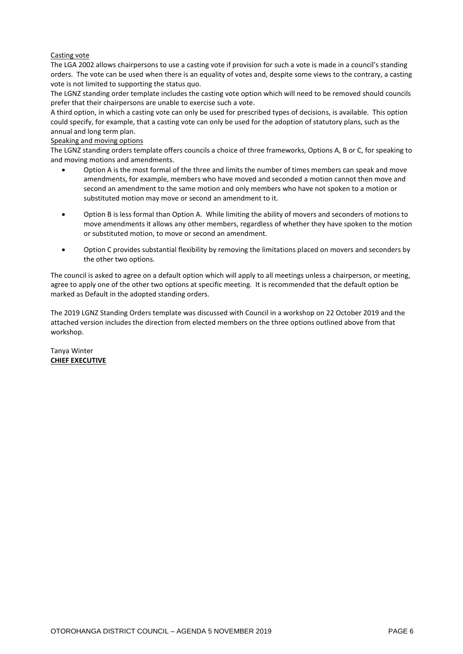#### Casting vote

The LGA 2002 allows chairpersons to use a casting vote if provision for such a vote is made in a council's standing orders. The vote can be used when there is an equality of votes and, despite some views to the contrary, a casting vote is not limited to supporting the status quo.

The LGNZ standing order template includes the casting vote option which will need to be removed should councils prefer that their chairpersons are unable to exercise such a vote.

A third option, in which a casting vote can only be used for prescribed types of decisions, is available. This option could specify, for example, that a casting vote can only be used for the adoption of statutory plans, such as the annual and long term plan.

#### Speaking and moving options

The LGNZ standing orders template offers councils a choice of three frameworks, Options A, B or C, for speaking to and moving motions and amendments.

- Option A is the most formal of the three and limits the number of times members can speak and move amendments, for example, members who have moved and seconded a motion cannot then move and second an amendment to the same motion and only members who have not spoken to a motion or substituted motion may move or second an amendment to it.
- Option B is less formal than Option A. While limiting the ability of movers and seconders of motions to move amendments it allows any other members, regardless of whether they have spoken to the motion or substituted motion, to move or second an amendment.
- Option C provides substantial flexibility by removing the limitations placed on movers and seconders by the other two options.

The council is asked to agree on a default option which will apply to all meetings unless a chairperson, or meeting, agree to apply one of the other two options at specific meeting. It is recommended that the default option be marked as Default in the adopted standing orders.

The 2019 LGNZ Standing Orders template was discussed with Council in a workshop on 22 October 2019 and the attached version includes the direction from elected members on the three options outlined above from that workshop.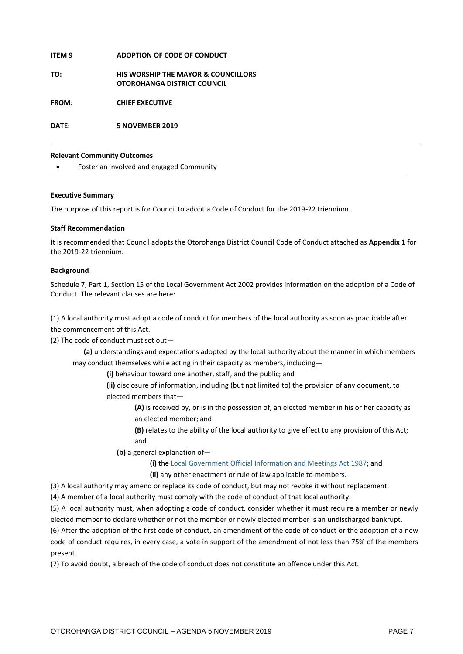#### **ITEM 9 ADOPTION OF CODE OF CONDUCT**

**TO: HIS WORSHIP THE MAYOR & COUNCILLORS OTOROHANGA DISTRICT COUNCIL**

**FROM: CHIEF EXECUTIVE**

**DATE: 5 NOVEMBER 2019**

#### **Relevant Community Outcomes**

Foster an involved and engaged Community

#### **Executive Summary**

The purpose of this report is for Council to adopt a Code of Conduct for the 2019-22 triennium.

#### **Staff Recommendation**

It is recommended that Council adopts the Otorohanga District Council Code of Conduct attached as **Appendix 1** for the 2019-22 triennium.

#### **Background**

Schedule 7, Part 1, Section 15 of the Local Government Act 2002 provides information on the adoption of a Code of Conduct. The relevant clauses are here:

(1) A local authority must adopt a code of conduct for members of the local authority as soon as practicable after the commencement of this Act.

(2) The code of conduct must set out—

**(a)** understandings and expectations adopted by the local authority about the manner in which members may conduct themselves while acting in their capacity as members, including—

 **(i)** behaviour toward one another, staff, and the public; and

**(ii)** disclosure of information, including (but not limited to) the provision of any document, to elected members that—

**(A)** is received by, or is in the possession of, an elected member in his or her capacity as an elected member; and

**(B)** relates to the ability of the local authority to give effect to any provision of this Act; and

**(b)** a general explanation of—

**(i)** the Local [Government](http://www.legislation.govt.nz/act/public/2002/0084/173.0/link.aspx?id=DLM122241) Official Information and Meetings Act 1987; and

**(ii)** any other enactment or rule of law applicable to members.

(3) A local authority may amend or replace its code of conduct, but may not revoke it without replacement.

(4) A member of a local authority must comply with the code of conduct of that local authority.

(5) A local authority must, when adopting a code of conduct, consider whether it must require a member or newly elected member to declare whether or not the member or newly elected member is an undischarged bankrupt.

(6) After the adoption of the first code of conduct, an amendment of the code of conduct or the adoption of a new code of conduct requires, in every case, a vote in support of the amendment of not less than 75% of the members present.

(7) To avoid doubt, a breach of the code of conduct does not constitute an offence under this Act.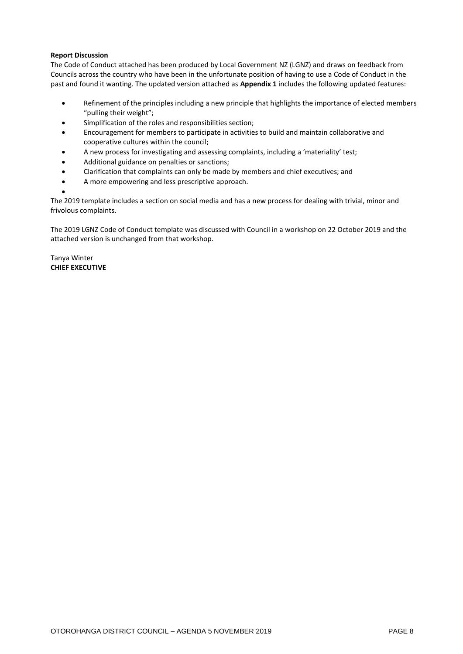#### **Report Discussion**

The Code of Conduct attached has been produced by Local Government NZ (LGNZ) and draws on feedback from Councils across the country who have been in the unfortunate position of having to use a Code of Conduct in the past and found it wanting. The updated version attached as **Appendix 1** includes the following updated features:

- Refinement of the principles including a new principle that highlights the importance of elected members "pulling their weight";
- Simplification of the roles and responsibilities section;
- Encouragement for members to participate in activities to build and maintain collaborative and cooperative cultures within the council;
- A new process for investigating and assessing complaints, including a 'materiality' test;
- Additional guidance on penalties or sanctions;
- Clarification that complaints can only be made by members and chief executives; and
- A more empowering and less prescriptive approach.
- $\bullet$

The 2019 template includes a section on social media and has a new process for dealing with trivial, minor and frivolous complaints.

The 2019 LGNZ Code of Conduct template was discussed with Council in a workshop on 22 October 2019 and the attached version is unchanged from that workshop.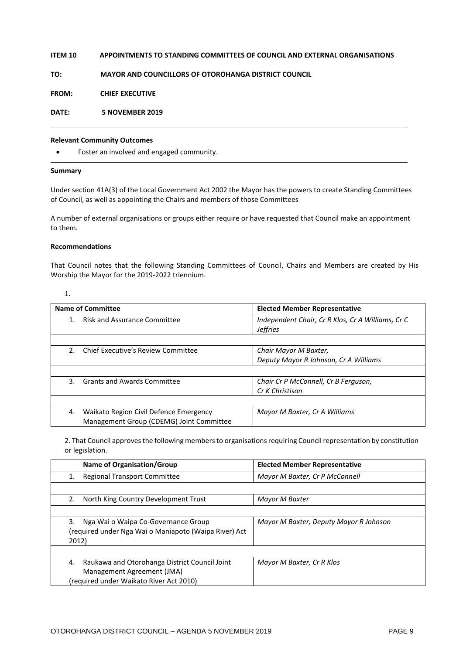#### **ITEM 10 APPOINTMENTS TO STANDING COMMITTEES OF COUNCIL AND EXTERNAL ORGANISATIONS**

**TO: MAYOR AND COUNCILLORS OF OTOROHANGA DISTRICT COUNCIL** 

**FROM: CHIEF EXECUTIVE**

**DATE: 5 NOVEMBER 2019**

#### **Relevant Community Outcomes**

Foster an involved and engaged community.

#### **Summary**

Under section 41A(3) of the Local Government Act 2002 the Mayor has the powers to create Standing Committees of Council, as well as appointing the Chairs and members of those Committees

A number of external organisations or groups either require or have requested that Council make an appointment to them.

#### **Recommendations**

That Council notes that the following Standing Committees of Council, Chairs and Members are created by His Worship the Mayor for the 2019-2022 triennium.

| I<br>×. |  |
|---------|--|
| . .     |  |

|                | <b>Name of Committee</b>                 | <b>Elected Member Representative</b>                                 |
|----------------|------------------------------------------|----------------------------------------------------------------------|
| 1              | <b>Risk and Assurance Committee</b>      | Independent Chair, Cr R Klos, Cr A Williams, Cr C<br><b>Jeffries</b> |
|                |                                          |                                                                      |
| 2 <sub>1</sub> | Chief Executive's Review Committee       | Chair Mayor M Baxter,                                                |
|                |                                          | Deputy Mayor R Johnson, Cr A Williams                                |
|                |                                          |                                                                      |
| 3              | <b>Grants and Awards Committee</b>       | Chair Cr P McConnell, Cr B Ferguson,                                 |
|                |                                          | Cr K Christison                                                      |
|                |                                          |                                                                      |
| 4.             | Waikato Region Civil Defence Emergency   | Mayor M Baxter, Cr A Williams                                        |
|                | Management Group (CDEMG) Joint Committee |                                                                      |

2. That Council approves the following members to organisations requiring Council representation by constitution or legislation.

| Name of Organisation/Group                            | <b>Elected Member Representative</b>   |
|-------------------------------------------------------|----------------------------------------|
| <b>Regional Transport Committee</b><br>1.             | Mayor M Baxter, Cr P McConnell         |
|                                                       |                                        |
| 2.<br>North King Country Development Trust            | Mayor M Baxter                         |
|                                                       |                                        |
| 3.<br>Nga Wai o Waipa Co-Governance Group             | Mayor M Baxter, Deputy Mayor R Johnson |
| (required under Nga Wai o Maniapoto (Waipa River) Act |                                        |
| 2012)                                                 |                                        |
|                                                       |                                        |
| Raukawa and Otorohanga District Council Joint<br>4.   | Mayor M Baxter, Cr R Klos              |
| Management Agreement (JMA)                            |                                        |
| (required under Waikato River Act 2010)               |                                        |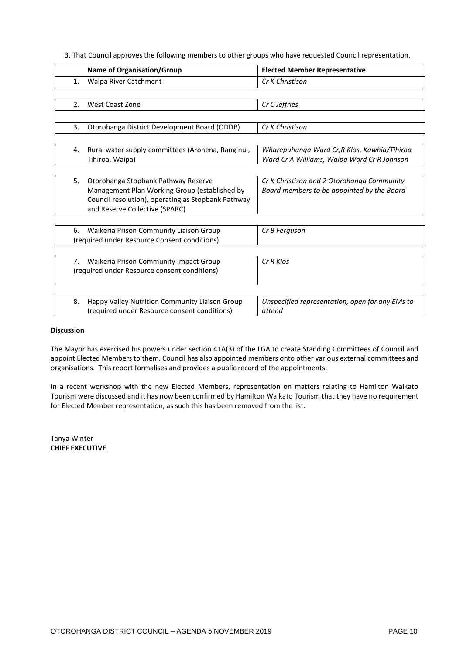3. That Council approves the following members to other groups who have requested Council representation.

|     | <b>Name of Organisation/Group</b>                                                    | <b>Elected Member Representative</b>                                                     |
|-----|--------------------------------------------------------------------------------------|------------------------------------------------------------------------------------------|
| 1.  | Waipa River Catchment                                                                | Cr K Christison                                                                          |
|     |                                                                                      |                                                                                          |
| 2.5 | West Coast Zone                                                                      | Cr C Jeffries                                                                            |
|     |                                                                                      |                                                                                          |
| 3.  | Otorohanga District Development Board (ODDB)                                         | Cr K Christison                                                                          |
|     |                                                                                      |                                                                                          |
| 4.  | Rural water supply committees (Arohena, Ranginui,                                    | Wharepuhunga Ward Cr, R Klos, Kawhia/Tihiroa                                             |
|     | Tihiroa, Waipa)                                                                      | Ward Cr A Williams, Waipa Ward Cr R Johnson                                              |
|     |                                                                                      |                                                                                          |
| 5.  | Otorohanga Stopbank Pathway Reserve<br>Management Plan Working Group (established by | Cr K Christison and 2 Otorohanga Community<br>Board members to be appointed by the Board |
|     | Council resolution), operating as Stopbank Pathway                                   |                                                                                          |
|     | and Reserve Collective (SPARC)                                                       |                                                                                          |
|     |                                                                                      |                                                                                          |
| 6.  | Waikeria Prison Community Liaison Group                                              | Cr B Ferguson                                                                            |
|     | (required under Resource Consent conditions)                                         |                                                                                          |
|     |                                                                                      |                                                                                          |
|     | 7. Waikeria Prison Community Impact Group                                            | Cr R Klos                                                                                |
|     | (required under Resource consent conditions)                                         |                                                                                          |
|     |                                                                                      |                                                                                          |
| 8.  | Happy Valley Nutrition Community Liaison Group                                       | Unspecified representation, open for any EMs to                                          |
|     | (required under Resource consent conditions)                                         | attend                                                                                   |
|     |                                                                                      |                                                                                          |

#### **Discussion**

The Mayor has exercised his powers under section 41A(3) of the LGA to create Standing Committees of Council and appoint Elected Members to them. Council has also appointed members onto other various external committees and organisations. This report formalises and provides a public record of the appointments.

In a recent workshop with the new Elected Members, representation on matters relating to Hamilton Waikato Tourism were discussed and it has now been confirmed by Hamilton Waikato Tourism that they have no requirement for Elected Member representation, as such this has been removed from the list.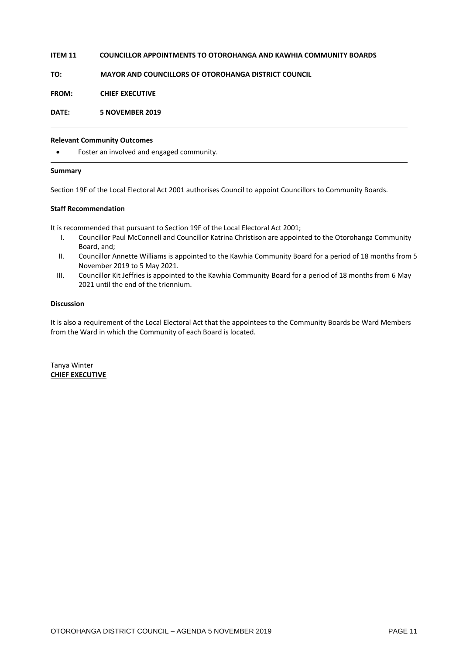#### **ITEM 11 COUNCILLOR APPOINTMENTS TO OTOROHANGA AND KAWHIA COMMUNITY BOARDS**

#### **TO: MAYOR AND COUNCILLORS OF OTOROHANGA DISTRICT COUNCIL**

**FROM: CHIEF EXECUTIVE**

**DATE: 5 NOVEMBER 2019**

#### **Relevant Community Outcomes**

Foster an involved and engaged community.

#### **Summary**

Section 19F of the Local Electoral Act 2001 authorises Council to appoint Councillors to Community Boards.

#### **Staff Recommendation**

It is recommended that pursuant to Section 19F of the Local Electoral Act 2001;

- I. Councillor Paul McConnell and Councillor Katrina Christison are appointed to the Otorohanga Community Board, and;
- II. Councillor Annette Williams is appointed to the Kawhia Community Board for a period of 18 months from 5 November 2019 to 5 May 2021.
- III. Councillor Kit Jeffries is appointed to the Kawhia Community Board for a period of 18 months from 6 May 2021 until the end of the triennium.

#### **Discussion**

It is also a requirement of the Local Electoral Act that the appointees to the Community Boards be Ward Members from the Ward in which the Community of each Board is located.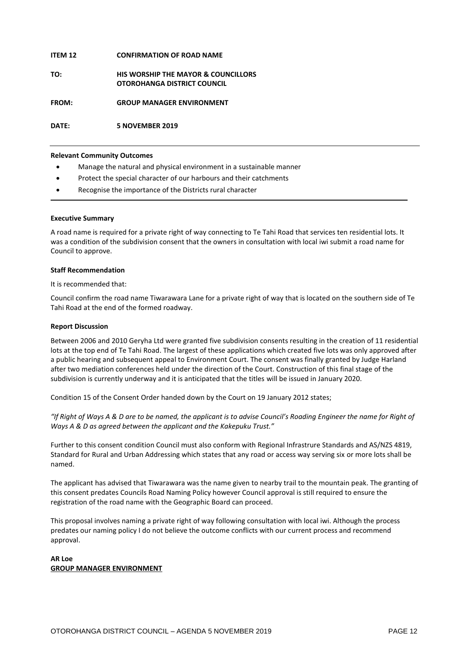#### **ITEM 12 CONFIRMATION OF ROAD NAME**

#### **TO: HIS WORSHIP THE MAYOR & COUNCILLORS OTOROHANGA DISTRICT COUNCIL**

**FROM: GROUP MANAGER ENVIRONMENT** 

**DATE: 5 NOVEMBER 2019**

#### **Relevant Community Outcomes**

- Manage the natural and physical environment in a sustainable manner
- Protect the special character of our harbours and their catchments
- Recognise the importance of the Districts rural character

#### **Executive Summary**

A road name is required for a private right of way connecting to Te Tahi Road that services ten residential lots. It was a condition of the subdivision consent that the owners in consultation with local iwi submit a road name for Council to approve.

#### **Staff Recommendation**

#### It is recommended that:

Council confirm the road name Tiwarawara Lane for a private right of way that is located on the southern side of Te Tahi Road at the end of the formed roadway.

#### **Report Discussion**

Between 2006 and 2010 Geryha Ltd were granted five subdivision consents resulting in the creation of 11 residential lots at the top end of Te Tahi Road. The largest of these applications which created five lots was only approved after a public hearing and subsequent appeal to Environment Court. The consent was finally granted by Judge Harland after two mediation conferences held under the direction of the Court. Construction of this final stage of the subdivision is currently underway and it is anticipated that the titles will be issued in January 2020.

Condition 15 of the Consent Order handed down by the Court on 19 January 2012 states;

*"If Right of Ways A & D are to be named, the applicant is to advise Council's Roading Engineer the name for Right of Ways A & D as agreed between the applicant and the Kakepuku Trust."*

Further to this consent condition Council must also conform with Regional Infrastrure Standards and AS/NZS 4819, Standard for Rural and Urban Addressing which states that any road or access way serving six or more lots shall be named.

The applicant has advised that Tiwarawara was the name given to nearby trail to the mountain peak. The granting of this consent predates Councils Road Naming Policy however Council approval is still required to ensure the registration of the road name with the Geographic Board can proceed.

This proposal involves naming a private right of way following consultation with local iwi. Although the process predates our naming policy I do not believe the outcome conflicts with our current process and recommend approval.

#### **AR Loe GROUP MANAGER ENVIRONMENT**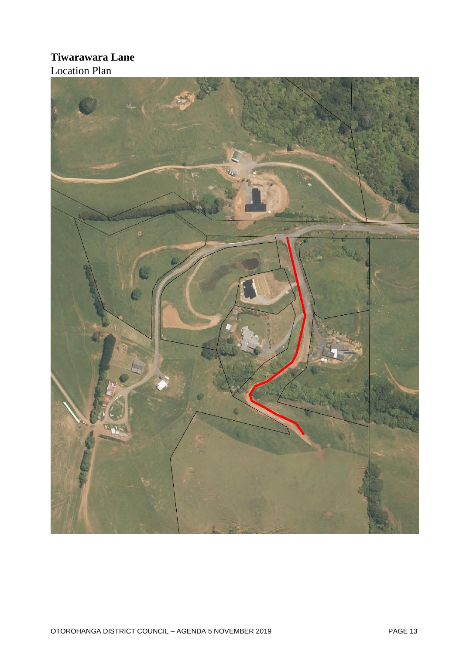### **Tiwarawara Lane**

Location Plan